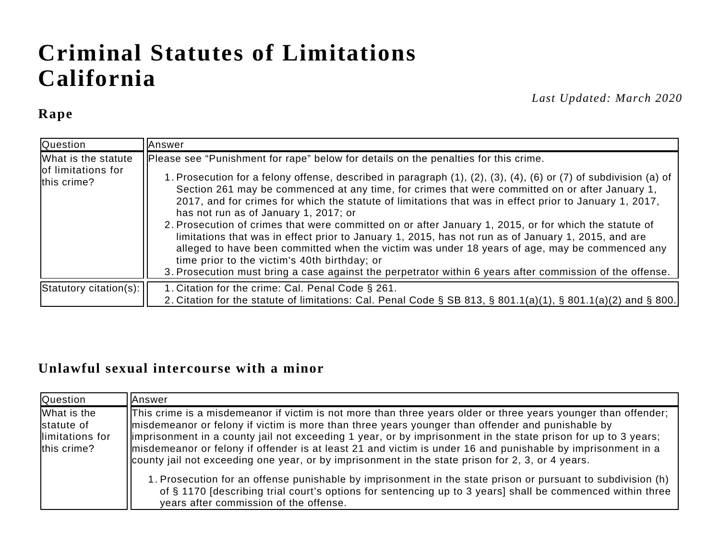# **Criminal Statutes of Limitations California**

#### **Rape**

*Last Updated: March 2020*

| Question                                                 | lAnswer                                                                                                                                                                                                                                                                                                                                                                                                                                                                                                                                                                                                                                                                                                                                                                                                                                                                                                                                     |
|----------------------------------------------------------|---------------------------------------------------------------------------------------------------------------------------------------------------------------------------------------------------------------------------------------------------------------------------------------------------------------------------------------------------------------------------------------------------------------------------------------------------------------------------------------------------------------------------------------------------------------------------------------------------------------------------------------------------------------------------------------------------------------------------------------------------------------------------------------------------------------------------------------------------------------------------------------------------------------------------------------------|
| What is the statute<br>of limitations for<br>this crime? | Please see "Punishment for rape" below for details on the penalties for this crime.<br>1. Prosecution for a felony offense, described in paragraph (1), (2), (3), (4), (6) or (7) of subdivision (a) of<br>Section 261 may be commenced at any time, for crimes that were committed on or after January 1,<br>2017, and for crimes for which the statute of limitations that was in effect prior to January 1, 2017,<br>has not run as of January 1, 2017; or<br>2. Prosecution of crimes that were committed on or after January 1, 2015, or for which the statute of<br>limitations that was in effect prior to January 1, 2015, has not run as of January 1, 2015, and are<br>alleged to have been committed when the victim was under 18 years of age, may be commenced any<br>time prior to the victim's 40th birthday; or<br>3. Prosecution must bring a case against the perpetrator within 6 years after commission of the offense. |
| $ $ Statutory citation(s): $ $                           | 1. Citation for the crime: Cal. Penal Code § 261.<br>2. Citation for the statute of limitations: Cal. Penal Code § SB 813, § 801.1(a)(1), § 801.1(a)(2) and § 800.                                                                                                                                                                                                                                                                                                                                                                                                                                                                                                                                                                                                                                                                                                                                                                          |

#### **Unlawful sexual intercourse with a minor**

| <b>Question</b>                                              | lAnswer                                                                                                                                                                                                                                                                                                                                                                                                                                                                                                                                                 |
|--------------------------------------------------------------|---------------------------------------------------------------------------------------------------------------------------------------------------------------------------------------------------------------------------------------------------------------------------------------------------------------------------------------------------------------------------------------------------------------------------------------------------------------------------------------------------------------------------------------------------------|
| What is the<br>statute of<br>llimitations for<br>this crime? | This crime is a misdemeanor if victim is not more than three years older or three years younger than offender;<br>misdemeanor or felony if victim is more than three years younger than offender and punishable by<br>limprisonment in a county jail not exceeding 1 year, or by imprisonment in the state prison for up to 3 years;<br>misdemeanor or felony if offender is at least 21 and victim is under 16 and punishable by imprisonment in a<br>county jail not exceeding one year, or by imprisonment in the state prison for 2, 3, or 4 years. |
|                                                              | 1. Prosecution for an offense punishable by imprisonment in the state prison or pursuant to subdivision (h)<br>of § 1170 [describing trial court's options for sentencing up to 3 years] shall be commenced within three<br>years after commission of the offense.                                                                                                                                                                                                                                                                                      |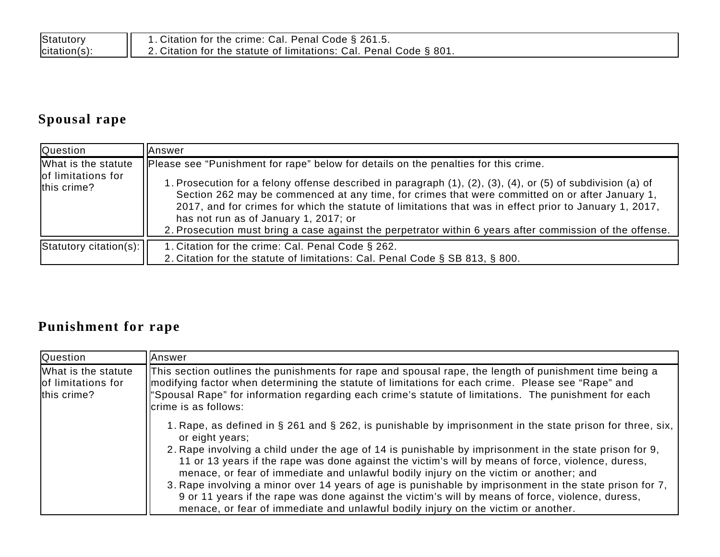| Statutory    | 1. Citation for the crime: Cal. Penal Code § 261.5.                        |
|--------------|----------------------------------------------------------------------------|
| citation(s): | $\vert$ 2. Citation for the statute of limitations: Cal. Penal Code § 801. |

# **Spousal rape**

| <b>Question</b>                                          | lAnswer                                                                                                                                                                                                                                                                                                                                                                                                                                                                                                                                                              |
|----------------------------------------------------------|----------------------------------------------------------------------------------------------------------------------------------------------------------------------------------------------------------------------------------------------------------------------------------------------------------------------------------------------------------------------------------------------------------------------------------------------------------------------------------------------------------------------------------------------------------------------|
| What is the statute<br>of limitations for<br>this crime? | Please see "Punishment for rape" below for details on the penalties for this crime.<br>1. Prosecution for a felony offense described in paragraph (1), (2), (3), (4), or (5) of subdivision (a) of<br>Section 262 may be commenced at any time, for crimes that were committed on or after January 1,<br>2017, and for crimes for which the statute of limitations that was in effect prior to January 1, 2017,<br>has not run as of January 1, 2017; or<br>2. Prosecution must bring a case against the perpetrator within 6 years after commission of the offense. |
| $ $ Statutory citation(s): $ $                           | 1. Citation for the crime: Cal. Penal Code § 262.<br>2. Citation for the statute of limitations: Cal. Penal Code § SB 813, § 800.                                                                                                                                                                                                                                                                                                                                                                                                                                    |

## **Punishment for rape**

| Question                                                 | <b>IAnswer</b>                                                                                                                                                                                                                                                                                                                                                                                                                                                                                                                                                                                                                                                                                                                                   |
|----------------------------------------------------------|--------------------------------------------------------------------------------------------------------------------------------------------------------------------------------------------------------------------------------------------------------------------------------------------------------------------------------------------------------------------------------------------------------------------------------------------------------------------------------------------------------------------------------------------------------------------------------------------------------------------------------------------------------------------------------------------------------------------------------------------------|
| What is the statute<br>of limitations for<br>this crime? | This section outlines the punishments for rape and spousal rape, the length of punishment time being a<br>modifying factor when determining the statute of limitations for each crime. Please see "Rape" and<br>"Spousal Rape" for information regarding each crime's statute of limitations. The punishment for each<br>crime is as follows:                                                                                                                                                                                                                                                                                                                                                                                                    |
|                                                          | 1. Rape, as defined in $\S$ 261 and $\S$ 262, is punishable by imprisonment in the state prison for three, six,<br>or eight years;<br>2. Rape involving a child under the age of 14 is punishable by imprisonment in the state prison for 9,<br>11 or 13 years if the rape was done against the victim's will by means of force, violence, duress,<br>menace, or fear of immediate and unlawful bodily injury on the victim or another; and<br>3. Rape involving a minor over 14 years of age is punishable by imprisonment in the state prison for 7,<br>9 or 11 years if the rape was done against the victim's will by means of force, violence, duress,<br>menace, or fear of immediate and unlawful bodily injury on the victim or another. |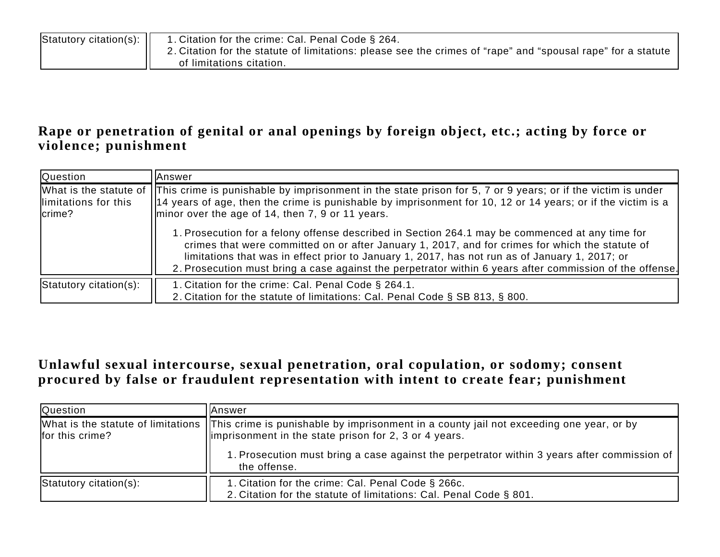| $ $ Statutory citation(s): $  $ | 1. Citation for the crime: Cal. Penal Code § 264.                                                            |
|---------------------------------|--------------------------------------------------------------------------------------------------------------|
|                                 | 2. Citation for the statute of limitations: please see the crimes of "rape" and "spousal rape" for a statute |
|                                 | of limitations citation.                                                                                     |

#### **Rape or penetration of genital or anal openings by foreign object, etc.; acting by force or violence; punishment**

| Question                            | lAnswer                                                                                                                                                                                                                                                                                                                                                                                                          |
|-------------------------------------|------------------------------------------------------------------------------------------------------------------------------------------------------------------------------------------------------------------------------------------------------------------------------------------------------------------------------------------------------------------------------------------------------------------|
| llimitations for this<br>$l$ crime? | What is the statute of IT his crime is punishable by imprisonment in the state prison for 5, 7 or 9 years; or if the victim is under<br>$\vert$ 14 years of age, then the crime is punishable by imprisonment for 10, 12 or 14 years; or if the victim is a<br>minor over the age of 14, then 7, 9 or 11 years.                                                                                                  |
|                                     | 1. Prosecution for a felony offense described in Section 264.1 may be commenced at any time for<br>crimes that were committed on or after January 1, 2017, and for crimes for which the statute of<br>limitations that was in effect prior to January 1, 2017, has not run as of January 1, 2017; or<br>2. Prosecution must bring a case against the perpetrator within 6 years after commission of the offense. |
| Statutory citation(s):              | 1. Citation for the crime: Cal. Penal Code § 264.1.<br>2. Citation for the statute of limitations: Cal. Penal Code § SB 813, § 800.                                                                                                                                                                                                                                                                              |

#### **Unlawful sexual intercourse, sexual penetration, oral copulation, or sodomy; consent procured by false or fraudulent representation with intent to create fear; punishment**

| <b>Question</b>        | lAnswer                                                                                                                                                                                |
|------------------------|----------------------------------------------------------------------------------------------------------------------------------------------------------------------------------------|
| for this crime?        | What is the statute of limitations   This crime is punishable by imprisonment in a county jail not exceeding one year, or by<br>limprisonment in the state prison for 2, 3 or 4 years. |
|                        | 1. Prosecution must bring a case against the perpetrator within 3 years after commission of<br>the offense.                                                                            |
| Statutory citation(s): | 1. Citation for the crime: Cal. Penal Code § 266c.<br>2. Citation for the statute of limitations: Cal. Penal Code § 801.                                                               |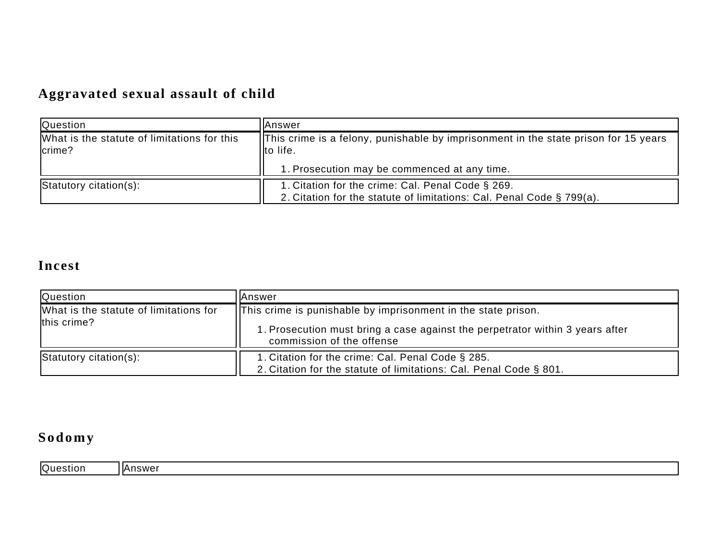# **Aggravated sexual assault of child**

| <b>Question</b>                                       | <b>IAnswer</b>                                                                                                             |  |
|-------------------------------------------------------|----------------------------------------------------------------------------------------------------------------------------|--|
| What is the statute of limitations for this<br>crime? | This crime is a felony, punishable by imprisonment in the state prison for 15 years<br>Ilto life.                          |  |
|                                                       | I. Prosecution may be commenced at any time.                                                                               |  |
| Statutory citation(s):                                | 1. Citation for the crime: Cal. Penal Code § 269.<br>2. Citation for the statute of limitations: Cal. Penal Code § 799(a). |  |

## **Incest**

| <b>Question</b>                                       | lAnswer                                                                                                                                                                            |
|-------------------------------------------------------|------------------------------------------------------------------------------------------------------------------------------------------------------------------------------------|
| What is the statute of limitations for<br>this crime? | <b>This crime is punishable by imprisonment in the state prison.</b><br>1. Prosecution must bring a case against the perpetrator within 3 years after<br>commission of the offense |
| Statutory citation(s):                                | 1. Citation for the crime: Cal. Penal Code § 285.<br>2. Citation for the statute of limitations: Cal. Penal Code § 801.                                                            |

# **Sodomy**

| <b>Question</b> | .nswer<br>'I⊬ |
|-----------------|---------------|
|-----------------|---------------|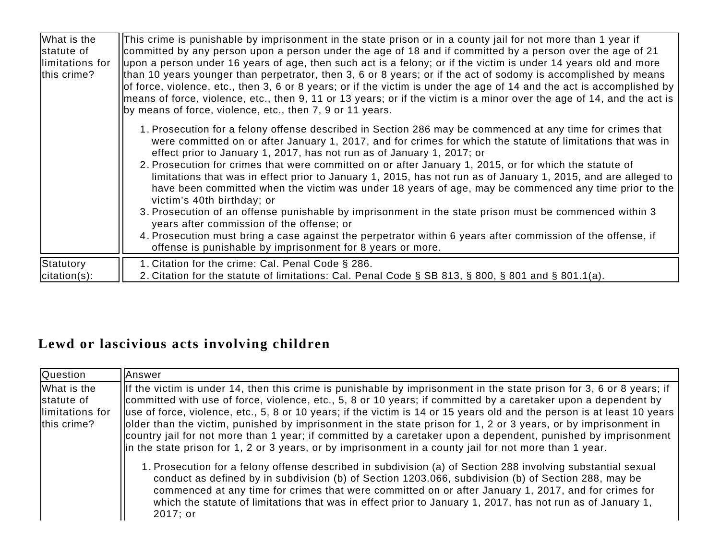| What is the<br>statute of<br>llimitations for<br>this crime? | This crime is punishable by imprisonment in the state prison or in a county jail for not more than 1 year if<br>committed by any person upon a person under the age of 18 and if committed by a person over the age of 21<br>upon a person under 16 years of age, then such act is a felony; or if the victim is under 14 years old and more<br>than 10 years younger than perpetrator, then 3, 6 or 8 years; or if the act of sodomy is accomplished by means<br>of force, violence, etc., then 3, 6 or 8 years; or if the victim is under the age of 14 and the act is accomplished by $\vert$<br>means of force, violence, etc., then 9, 11 or 13 years; or if the victim is a minor over the age of 14, and the act is<br>by means of force, violence, etc., then 7, 9 or 11 years.                                                                                                                                                                                                                   |
|--------------------------------------------------------------|-----------------------------------------------------------------------------------------------------------------------------------------------------------------------------------------------------------------------------------------------------------------------------------------------------------------------------------------------------------------------------------------------------------------------------------------------------------------------------------------------------------------------------------------------------------------------------------------------------------------------------------------------------------------------------------------------------------------------------------------------------------------------------------------------------------------------------------------------------------------------------------------------------------------------------------------------------------------------------------------------------------|
|                                                              | 1. Prosecution for a felony offense described in Section 286 may be commenced at any time for crimes that<br>were committed on or after January 1, 2017, and for crimes for which the statute of limitations that was in<br>effect prior to January 1, 2017, has not run as of January 1, 2017; or<br>2. Prosecution for crimes that were committed on or after January 1, 2015, or for which the statute of<br>limitations that was in effect prior to January 1, 2015, has not run as of January 1, 2015, and are alleged to<br>have been committed when the victim was under 18 years of age, may be commenced any time prior to the<br>victim's 40th birthday; or<br>3. Prosecution of an offense punishable by imprisonment in the state prison must be commenced within 3<br>years after commission of the offense; or<br>4. Prosecution must bring a case against the perpetrator within 6 years after commission of the offense, if<br>offense is punishable by imprisonment for 8 years or more. |
| Statutory<br>$citation(s)$ :                                 | 1. Citation for the crime: Cal. Penal Code § 286.<br>2. Citation for the statute of limitations: Cal. Penal Code § SB 813, § 800, § 801 and § 801.1(a).                                                                                                                                                                                                                                                                                                                                                                                                                                                                                                                                                                                                                                                                                                                                                                                                                                                   |

### **Lewd or lascivious acts involving children**

| <b>Question</b>                                              | Answer                                                                                                                                                                                                                                                                                                                                                                                                                                                                                                                                                                                                                                                                                                                            |
|--------------------------------------------------------------|-----------------------------------------------------------------------------------------------------------------------------------------------------------------------------------------------------------------------------------------------------------------------------------------------------------------------------------------------------------------------------------------------------------------------------------------------------------------------------------------------------------------------------------------------------------------------------------------------------------------------------------------------------------------------------------------------------------------------------------|
| What is the<br>statute of<br>llimitations for<br>this crime? | $\vert$ If the victim is under 14, then this crime is punishable by imprisonment in the state prison for 3, 6 or 8 years; if<br>committed with use of force, violence, etc., 5, 8 or 10 years; if committed by a caretaker upon a dependent by<br>luse of force, violence, etc., 5, 8 or 10 years; if the victim is 14 or 15 years old and the person is at least 10 years<br>older than the victim, punished by imprisonment in the state prison for 1, 2 or 3 years, or by imprisonment in<br>Country jail for not more than 1 year; if committed by a caretaker upon a dependent, punished by imprisonment  <br>$\vert$ in the state prison for 1, 2 or 3 years, or by imprisonment in a county jail for not more than 1 year. |
|                                                              | 1. Prosecution for a felony offense described in subdivision (a) of Section 288 involving substantial sexual<br>conduct as defined by in subdivision (b) of Section 1203.066, subdivision (b) of Section 288, may be<br>commenced at any time for crimes that were committed on or after January 1, 2017, and for crimes for<br>which the statute of limitations that was in effect prior to January 1, 2017, has not run as of January 1,<br>2017; or                                                                                                                                                                                                                                                                            |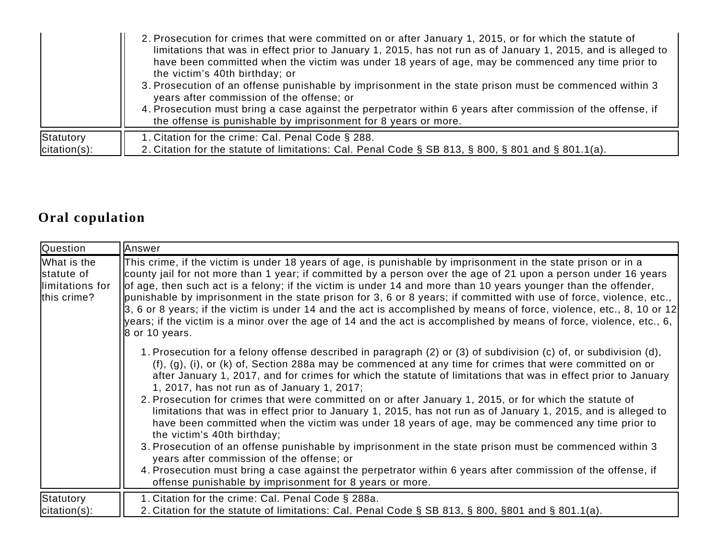|                 | 2. Prosecution for crimes that were committed on or after January 1, 2015, or for which the statute of<br>limitations that was in effect prior to January 1, 2015, has not run as of January 1, 2015, and is alleged to<br>have been committed when the victim was under 18 years of age, may be commenced any time prior to<br>the victim's 40th birthday; or<br>3. Prosecution of an offense punishable by imprisonment in the state prison must be commenced within 3<br>years after commission of the offense; or<br>4. Prosecution must bring a case against the perpetrator within 6 years after commission of the offense, if<br>the offense is punishable by imprisonment for 8 years or more. |
|-----------------|--------------------------------------------------------------------------------------------------------------------------------------------------------------------------------------------------------------------------------------------------------------------------------------------------------------------------------------------------------------------------------------------------------------------------------------------------------------------------------------------------------------------------------------------------------------------------------------------------------------------------------------------------------------------------------------------------------|
| Statutory       | 1. Citation for the crime: Cal. Penal Code § 288.                                                                                                                                                                                                                                                                                                                                                                                                                                                                                                                                                                                                                                                      |
| $citation(s)$ : | 2. Citation for the statute of limitations: Cal. Penal Code § SB 813, § 800, § 801 and § 801.1(a).                                                                                                                                                                                                                                                                                                                                                                                                                                                                                                                                                                                                     |

## **Oral copulation**

| Question                                                     | Answer                                                                                                                                                                                                                                                                                                                                                                                                                                                                                                                                                                                                                                                                                                                                                                                                                                                                                                              |
|--------------------------------------------------------------|---------------------------------------------------------------------------------------------------------------------------------------------------------------------------------------------------------------------------------------------------------------------------------------------------------------------------------------------------------------------------------------------------------------------------------------------------------------------------------------------------------------------------------------------------------------------------------------------------------------------------------------------------------------------------------------------------------------------------------------------------------------------------------------------------------------------------------------------------------------------------------------------------------------------|
| What is the<br>statute of<br>llimitations for<br>this crime? | This crime, if the victim is under 18 years of age, is punishable by imprisonment in the state prison or in a<br>county jail for not more than 1 year; if committed by a person over the age of 21 upon a person under 16 years<br>of age, then such act is a felony; if the victim is under 14 and more than 10 years younger than the offender,<br>punishable by imprisonment in the state prison for 3, 6 or 8 years; if committed with use of force, violence, etc.,<br>3, 6 or 8 years; if the victim is under 14 and the act is accomplished by means of force, violence, etc., 8, 10 or 12<br>years; if the victim is a minor over the age of 14 and the act is accomplished by means of force, violence, etc., 6,<br>$\beta$ or 10 years.                                                                                                                                                                   |
|                                                              | 1. Prosecution for a felony offense described in paragraph (2) or (3) of subdivision (c) of, or subdivision (d),<br>(f), (g), (i), or (k) of, Section 288a may be commenced at any time for crimes that were committed on or<br>after January 1, 2017, and for crimes for which the statute of limitations that was in effect prior to January<br>1, 2017, has not run as of January 1, 2017;<br>2. Prosecution for crimes that were committed on or after January 1, 2015, or for which the statute of<br>limitations that was in effect prior to January 1, 2015, has not run as of January 1, 2015, and is alleged to<br>have been committed when the victim was under 18 years of age, may be commenced any time prior to<br>the victim's 40th birthday;<br>3. Prosecution of an offense punishable by imprisonment in the state prison must be commenced within 3<br>years after commission of the offense; or |
|                                                              | 4. Prosecution must bring a case against the perpetrator within 6 years after commission of the offense, if<br>offense punishable by imprisonment for 8 years or more.                                                                                                                                                                                                                                                                                                                                                                                                                                                                                                                                                                                                                                                                                                                                              |
| Statutory<br>$citation(s)$ :                                 | 1. Citation for the crime: Cal. Penal Code § 288a.<br>2. Citation for the statute of limitations: Cal. Penal Code § SB 813, § 800, §801 and § 801.1(a).                                                                                                                                                                                                                                                                                                                                                                                                                                                                                                                                                                                                                                                                                                                                                             |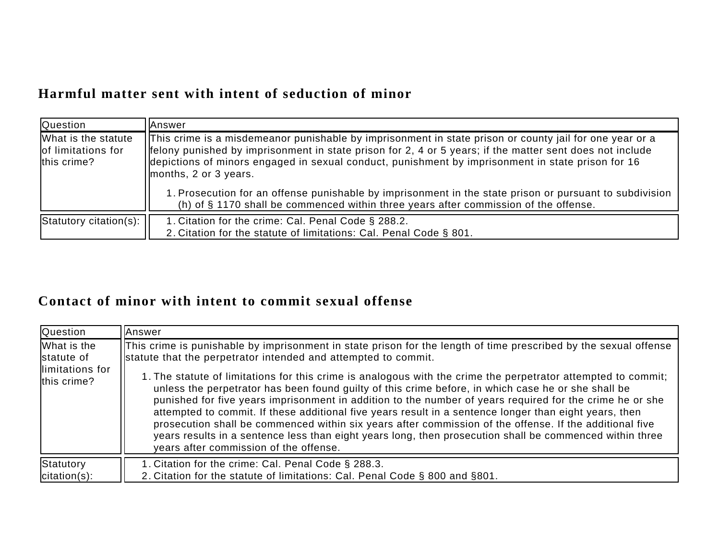#### **Harmful matter sent with intent of seduction of minor**

| Question                                                 | <b>Answer</b>                                                                                                                                                                                                                                                                                                                                          |
|----------------------------------------------------------|--------------------------------------------------------------------------------------------------------------------------------------------------------------------------------------------------------------------------------------------------------------------------------------------------------------------------------------------------------|
| What is the statute<br>of limitations for<br>this crime? | [This crime is a misdemeanor punishable by imprisonment in state prison or county jail for one year or a<br>  felony punished by imprisonment in state prison for 2, 4 or 5 years; if the matter sent does not include<br>eldepictions of minors engaged in sexual conduct, punishment by imprisonment in state prison for 16<br>months, 2 or 3 years. |
|                                                          | 1. Prosecution for an offense punishable by imprisonment in the state prison or pursuant to subdivision<br>(h) of § 1170 shall be commenced within three years after commission of the offense.                                                                                                                                                        |
| Statutory citation(s):                                   | 1. Citation for the crime: Cal. Penal Code § 288.2.<br>2. Citation for the statute of limitations: Cal. Penal Code § 801.                                                                                                                                                                                                                              |

#### **Contact of minor with intent to commit sexual offense**

| <b>Question</b>                                              | Answer                                                                                                                                                                                                                                                                                                                                                                                                                                                                                                                                                                                                                                                                                                                                                                                                                                                                                            |
|--------------------------------------------------------------|---------------------------------------------------------------------------------------------------------------------------------------------------------------------------------------------------------------------------------------------------------------------------------------------------------------------------------------------------------------------------------------------------------------------------------------------------------------------------------------------------------------------------------------------------------------------------------------------------------------------------------------------------------------------------------------------------------------------------------------------------------------------------------------------------------------------------------------------------------------------------------------------------|
| What is the<br>statute of<br>llimitations for<br>this crime? | This crime is punishable by imprisonment in state prison for the length of time prescribed by the sexual offense<br>statute that the perpetrator intended and attempted to commit.<br>1. The statute of limitations for this crime is analogous with the crime the perpetrator attempted to commit;<br>unless the perpetrator has been found guilty of this crime before, in which case he or she shall be<br>punished for five years imprisonment in addition to the number of years required for the crime he or she<br>attempted to commit. If these additional five years result in a sentence longer than eight years, then<br>prosecution shall be commenced within six years after commission of the offense. If the additional five<br>years results in a sentence less than eight years long, then prosecution shall be commenced within three<br>years after commission of the offense. |
| Statutory<br>$ citation(s) $ :                               | 1. Citation for the crime: Cal. Penal Code § 288.3.<br>2. Citation for the statute of limitations: Cal. Penal Code § 800 and §801.                                                                                                                                                                                                                                                                                                                                                                                                                                                                                                                                                                                                                                                                                                                                                                |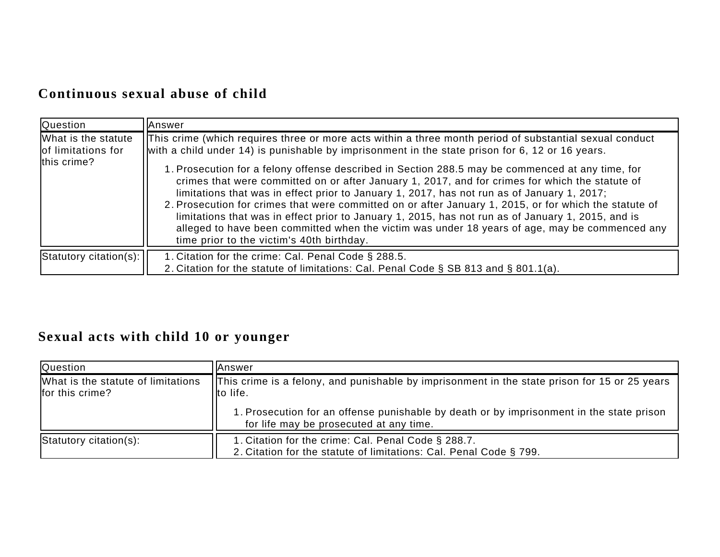#### **Continuous sexual abuse of child**

| Question                                                 | <b>IAnswer</b>                                                                                                                                                                                                                                                                                                                                                                                                                                                                                                                                                                                                                                                                                                                                                                                                                                                                  |
|----------------------------------------------------------|---------------------------------------------------------------------------------------------------------------------------------------------------------------------------------------------------------------------------------------------------------------------------------------------------------------------------------------------------------------------------------------------------------------------------------------------------------------------------------------------------------------------------------------------------------------------------------------------------------------------------------------------------------------------------------------------------------------------------------------------------------------------------------------------------------------------------------------------------------------------------------|
| What is the statute<br>of limitations for<br>this crime? | This crime (which requires three or more acts within a three month period of substantial sexual conduct<br>with a child under 14) is punishable by imprisonment in the state prison for 6, 12 or 16 years.<br>1. Prosecution for a felony offense described in Section 288.5 may be commenced at any time, for<br>crimes that were committed on or after January 1, 2017, and for crimes for which the statute of<br>limitations that was in effect prior to January 1, 2017, has not run as of January 1, 2017;<br>2. Prosecution for crimes that were committed on or after January 1, 2015, or for which the statute of<br>limitations that was in effect prior to January 1, 2015, has not run as of January 1, 2015, and is<br>alleged to have been committed when the victim was under 18 years of age, may be commenced any<br>time prior to the victim's 40th birthday. |
| $ $ Statutory citation(s): $ $                           | 1. Citation for the crime: Cal. Penal Code § 288.5.<br>2. Citation for the statute of limitations: Cal. Penal Code § SB 813 and § 801.1(a).                                                                                                                                                                                                                                                                                                                                                                                                                                                                                                                                                                                                                                                                                                                                     |

# **Sexual acts with child 10 or younger**

| Question                                              | lAnswer                                                                                                                             |
|-------------------------------------------------------|-------------------------------------------------------------------------------------------------------------------------------------|
| What is the statute of limitations<br>for this crime? | This crime is a felony, and punishable by imprisonment in the state prison for 15 or 25 years<br>Ilto life.                         |
|                                                       | 1. Prosecution for an offense punishable by death or by imprisonment in the state prison<br>for life may be prosecuted at any time. |
| Statutory citation(s):                                | 1. Citation for the crime: Cal. Penal Code § 288.7.<br>2. Citation for the statute of limitations: Cal. Penal Code § 799.           |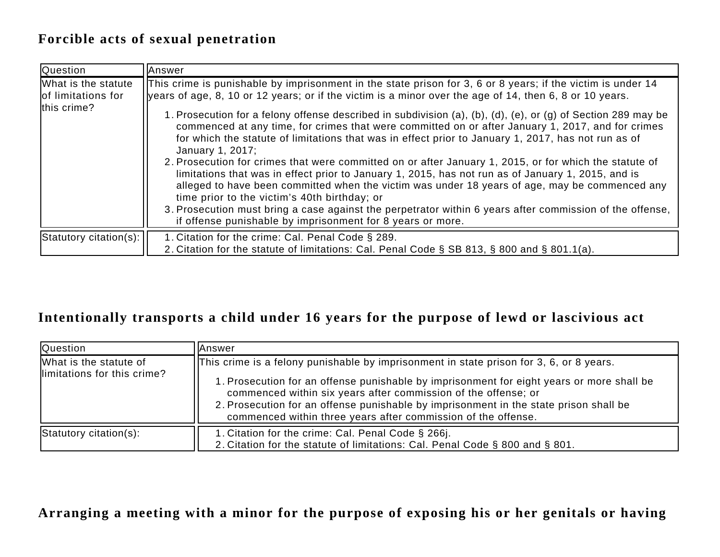#### **Forcible acts of sexual penetration**

| <b>Question</b>                                          | <b>IAnswer</b>                                                                                                                                                                                                                                                                                                                                                                                                                                                                                                                                                                                                                                                                                                                                                                                                                                                                                                                                                                                                                                                |  |
|----------------------------------------------------------|---------------------------------------------------------------------------------------------------------------------------------------------------------------------------------------------------------------------------------------------------------------------------------------------------------------------------------------------------------------------------------------------------------------------------------------------------------------------------------------------------------------------------------------------------------------------------------------------------------------------------------------------------------------------------------------------------------------------------------------------------------------------------------------------------------------------------------------------------------------------------------------------------------------------------------------------------------------------------------------------------------------------------------------------------------------|--|
| What is the statute<br>of limitations for<br>this crime? | This crime is punishable by imprisonment in the state prison for 3, 6 or 8 years; if the victim is under 14<br>$\mu$   years of age, 8, 10 or 12 years; or if the victim is a minor over the age of 14, then 6, 8 or 10 years.<br>1. Prosecution for a felony offense described in subdivision (a), (b), (d), (e), or (g) of Section 289 may be<br>commenced at any time, for crimes that were committed on or after January 1, 2017, and for crimes<br>for which the statute of limitations that was in effect prior to January 1, 2017, has not run as of<br>January 1, 2017;<br>2. Prosecution for crimes that were committed on or after January 1, 2015, or for which the statute of<br>limitations that was in effect prior to January 1, 2015, has not run as of January 1, 2015, and is<br>alleged to have been committed when the victim was under 18 years of age, may be commenced any<br>time prior to the victim's 40th birthday; or<br>3. Prosecution must bring a case against the perpetrator within 6 years after commission of the offense, |  |
|                                                          | if offense punishable by imprisonment for 8 years or more.                                                                                                                                                                                                                                                                                                                                                                                                                                                                                                                                                                                                                                                                                                                                                                                                                                                                                                                                                                                                    |  |
| $ $ Statutory citation(s):                               | 1. Citation for the crime: Cal. Penal Code § 289.<br>2. Citation for the statute of limitations: Cal. Penal Code § SB 813, § 800 and § 801.1(a).                                                                                                                                                                                                                                                                                                                                                                                                                                                                                                                                                                                                                                                                                                                                                                                                                                                                                                              |  |

#### **Intentionally transports a child under 16 years for the purpose of lewd or lascivious act**

| <b>Question</b>                                        | lAnswer                                                                                                                                                                                                                                                                                                                                                                                                          |
|--------------------------------------------------------|------------------------------------------------------------------------------------------------------------------------------------------------------------------------------------------------------------------------------------------------------------------------------------------------------------------------------------------------------------------------------------------------------------------|
| What is the statute of<br>llimitations for this crime? | This crime is a felony punishable by imprisonment in state prison for 3, 6, or 8 years.<br>1. Prosecution for an offense punishable by imprisonment for eight years or more shall be<br>commenced within six years after commission of the offense; or<br>2. Prosecution for an offense punishable by imprisonment in the state prison shall be<br>commenced within three years after commission of the offense. |
| Statutory citation(s):                                 | 1. Citation for the crime: Cal. Penal Code § 266j.<br>2. Citation for the statute of limitations: Cal. Penal Code § 800 and § 801.                                                                                                                                                                                                                                                                               |

#### **Arranging a meeting with a minor for the purpose of exposing his or her genitals or having**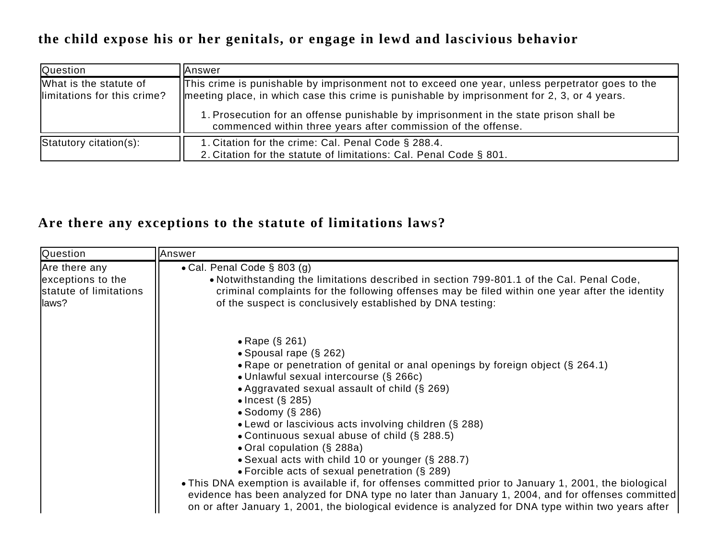#### **the child expose his or her genitals, or engage in lewd and lascivious behavior**

| <b>Question</b>                                        | <b>Answer</b>                                                                                                                                                                                          |
|--------------------------------------------------------|--------------------------------------------------------------------------------------------------------------------------------------------------------------------------------------------------------|
| What is the statute of<br>llimitations for this crime? | This crime is punishable by imprisonment not to exceed one year, unless perpetrator goes to the<br>$\vert$ meeting place, in which case this crime is punishable by imprisonment for 2, 3, or 4 years. |
|                                                        | 1. Prosecution for an offense punishable by imprisonment in the state prison shall be<br>commenced within three years after commission of the offense.                                                 |
| Statutory citation(s):                                 | 1. Citation for the crime: Cal. Penal Code § 288.4.                                                                                                                                                    |
|                                                        | 2. Citation for the statute of limitations: Cal. Penal Code § 801.                                                                                                                                     |

#### **Are there any exceptions to the statute of limitations laws?**

| Question                                                               | Answer                                                                                                                                                                                                                                                                                                                                                                                                                                                                                                                                                                                                                                                                                                                                                                                                                                        |
|------------------------------------------------------------------------|-----------------------------------------------------------------------------------------------------------------------------------------------------------------------------------------------------------------------------------------------------------------------------------------------------------------------------------------------------------------------------------------------------------------------------------------------------------------------------------------------------------------------------------------------------------------------------------------------------------------------------------------------------------------------------------------------------------------------------------------------------------------------------------------------------------------------------------------------|
| Are there any<br>exceptions to the<br>statute of limitations<br>llaws? | • Cal. Penal Code $\S$ 803 (g)<br>• Notwithstanding the limitations described in section 799-801.1 of the Cal. Penal Code,<br>criminal complaints for the following offenses may be filed within one year after the identity<br>of the suspect is conclusively established by DNA testing:                                                                                                                                                                                                                                                                                                                                                                                                                                                                                                                                                    |
|                                                                        | • Rape (§ 261)<br>• Spousal rape $(\S 262)$<br>• Rape or penetration of genital or anal openings by foreign object (§ 264.1)<br>· Unlawful sexual intercourse (§ 266c)<br>• Aggravated sexual assault of child (§ 269)<br>$\bullet$ Incest (§ 285)<br>• Sodomy $(\S$ 286)<br>• Lewd or lascivious acts involving children (§ 288)<br>• Continuous sexual abuse of child (§ 288.5)<br>• Oral copulation (§ 288a)<br>• Sexual acts with child 10 or younger (§ 288.7)<br>• Forcible acts of sexual penetration $(\S 289)$<br>• This DNA exemption is available if, for offenses committed prior to January 1, 2001, the biological<br>evidence has been analyzed for DNA type no later than January 1, 2004, and for offenses committed<br>on or after January 1, 2001, the biological evidence is analyzed for DNA type within two years after |